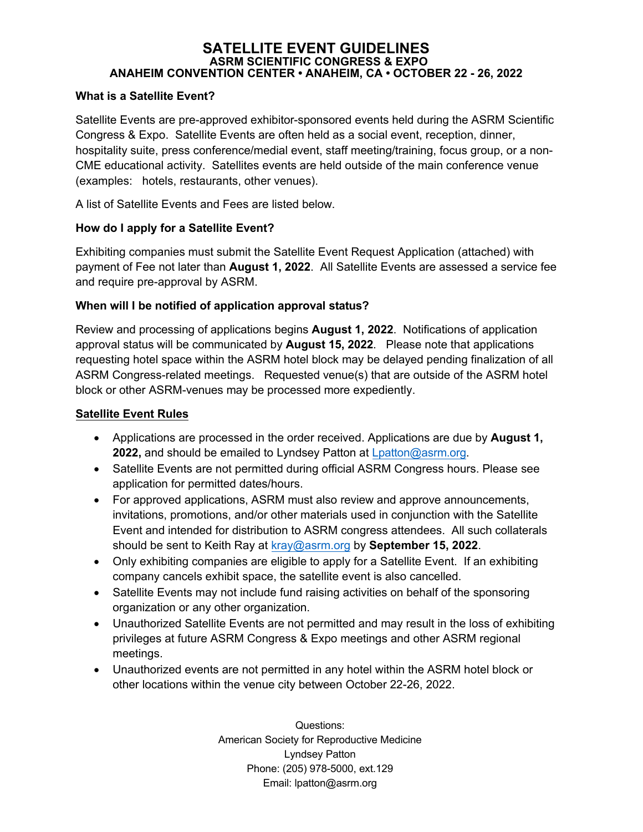#### **SATELLITE EVENT GUIDELINES ASRM SCIENTIFIC CONGRESS & EXPO ANAHEIM CONVENTION CENTER • ANAHEIM, CA • OCTOBER 22 - 26, 2022**

### **What is a Satellite Event?**

Satellite Events are pre-approved exhibitor-sponsored events held during the ASRM Scientific Congress & Expo. Satellite Events are often held as a social event, reception, dinner, hospitality suite, press conference/medial event, staff meeting/training, focus group, or a non-CME educational activity. Satellites events are held outside of the main conference venue (examples: hotels, restaurants, other venues).

A list of Satellite Events and Fees are listed below.

## **How do I apply for a Satellite Event?**

Exhibiting companies must submit the Satellite Event Request Application (attached) with payment of Fee not later than **August 1, 2022**. All Satellite Events are assessed a service fee and require pre-approval by ASRM.

## **When will I be notified of application approval status?**

Review and processing of applications begins **August 1, 2022**. Notifications of application approval status will be communicated by **August 15, 2022**. Please note that applications requesting hotel space within the ASRM hotel block may be delayed pending finalization of all ASRM Congress-related meetings. Requested venue(s) that are outside of the ASRM hotel block or other ASRM-venues may be processed more expediently.

#### **Satellite Event Rules**

- Applications are processed in the order received. Applications are due by **August 1, 2022,** and should be emailed to Lyndsey Patton at [Lpatton@asrm.org.](mailto:Lpatton@asrm.org)
- Satellite Events are not permitted during official ASRM Congress hours. Please see application for permitted dates/hours.
- For approved applications, ASRM must also review and approve announcements, invitations, promotions, and/or other materials used in conjunction with the Satellite Event and intended for distribution to ASRM congress attendees. All such collaterals should be sent to Keith Ray at kray@asrm.org by **September 15, 2022**.
- Only exhibiting companies are eligible to apply for a Satellite Event. If an exhibiting [company cance](mailto:kray@asrm.org)ls exhibit space, the satellite event is also cancelled.
- Satellite Events may not include fund raising activities on behalf of the sponsoring organization or any other organization.
- Unauthorized Satellite Events are not permitted and may result in the loss of exhibiting privileges at future ASRM Congress & Expo meetings and other ASRM regional meetings.
- Unauthorized events are not permitted in any hotel within the ASRM hotel block or other locations within the venue city between October 22-26, 2022.

Questions: American Society for Reproductive Medicine Lyndsey Patton Phone: (205) 978-5000, ext.129 Email: lpatton@asrm.org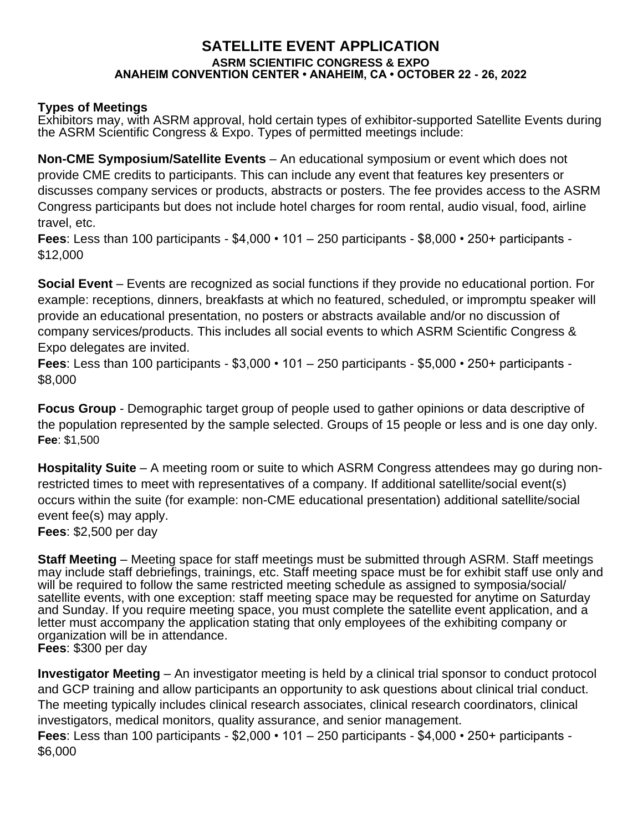# **SATELLITE EVENT APPLICATION ASRM SCIENTIFIC CONGRESS & EXPO ANAHEIM CONVENTION CENTER • ANAHEIM, CA • OCTOBER 22 - 26, 2022**

# **Types of Meetings**

Exhibitors may, with ASRM approval, hold certain types of exhibitor-supported Satellite Events during the ASRM Scientific Congress & Expo. Types of permitted meetings include:

**Non-CME Symposium/Satellite Events** – An educational symposium or event which does not provide CME credits to participants. This can include any event that features key presenters or discusses company services or products, abstracts or posters. The fee provides access to the ASRM Congress participants but does not include hotel charges for room rental, audio visual, food, airline travel, etc.

**Fees**: Less than 100 participants - \$4,000 • 101 – 250 participants - \$8,000 • 250+ participants - \$12,000

**Social Event** – Events are recognized as social functions if they provide no educational portion. For example: receptions, dinners, breakfasts at which no featured, scheduled, or impromptu speaker will provide an educational presentation, no posters or abstracts available and/or no discussion of company services/products. This includes all social events to which ASRM Scientific Congress & Expo delegates are invited.

**Fees**: Less than 100 participants - \$3,000 • 101 – 250 participants - \$5,000 • 250+ participants - \$8,000

**Focus Group** - Demographic target group of people used to gather opinions or data descriptive of the population represented by the sample selected. Groups of 15 people or less and is one day only. **Fee**: \$1,500

**Hospitality Suite** – A meeting room or suite to which ASRM Congress attendees may go during nonrestricted times to meet with representatives of a company. If additional satellite/social event(s) occurs within the suite (for example: non-CME educational presentation) additional satellite/social event fee(s) may apply.

**Fees**: \$2,500 per day

**Staff Meeting** – Meeting space for staff meetings must be submitted through ASRM. Staff meetings may include staff debriefings, trainings, etc. Staff meeting space must be for exhibit staff use only and will be required to follow the same restricted meeting schedule as assigned to symposia/social/ satellite events, with one exception: staff meeting space may be requested for anytime on Saturday and Sunday. If you require meeting space, you must complete the satellite event application, and a letter must accompany the application stating that only employees of the exhibiting company or organization will be in attendance. **Fees**: \$300 per day

**Investigator Meeting** – An investigator meeting is held by a clinical trial sponsor to conduct protocol and GCP training and allow participants an opportunity to ask questions about clinical trial conduct. The meeting typically includes clinical research associates, clinical research coordinators, clinical investigators, medical monitors, quality assurance, and senior management.

**Fees**: Less than 100 participants - \$2,000 • 101 – 250 participants - \$4,000 • 250+ participants - \$6,000